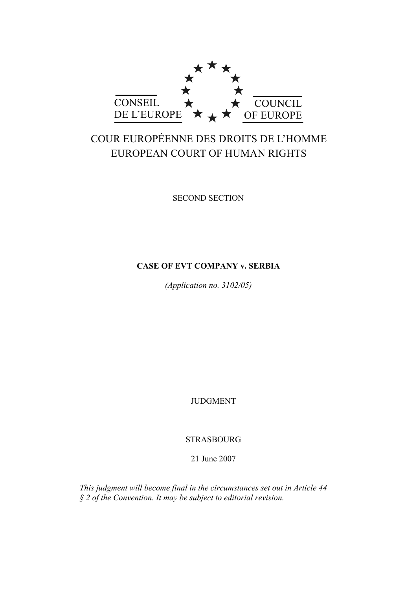

# COUR EUROPÉENNE DES DROITS DE L'HOMME EUROPEAN COURT OF HUMAN RIGHTS

SECOND SECTION

# **CASE OF EVT COMPANY v. SERBIA**

*(Application no. 3102/05)* 

JUDGMENT

STRASBOURG

21 June 2007

*This judgment will become final in the circumstances set out in Article 44 § 2 of the Convention. It may be subject to editorial revision.*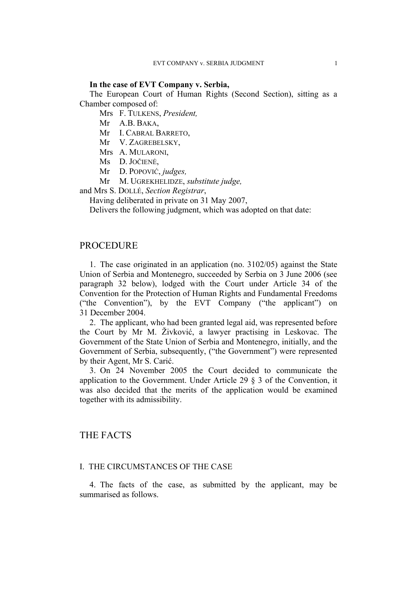## **In the case of EVT Company v. Serbia,**

The European Court of Human Rights (Second Section), sitting as a Chamber composed of:

Mrs F. TULKENS, *President,* 

- Mr A.B. BAKA,
- Mr I. CABRAL BARRETO,
- Mr V. ZAGREBELSKY,
- Mrs A. MULARONI,
- Ms D. JOČIENĖ,
- Mr D. POPOVIĆ, *judges,*
- Mr M. UGREKHELIDZE, *substitute judge,*

and Mrs S. DOLLÉ, *Section Registrar*,

Having deliberated in private on 31 May 2007,

Delivers the following judgment, which was adopted on that date:

# PROCEDURE

1. The case originated in an application (no. 3102/05) against the State Union of Serbia and Montenegro, succeeded by Serbia on 3 June 2006 (see paragraph 32 below), lodged with the Court under Article 34 of the Convention for the Protection of Human Rights and Fundamental Freedoms ("the Convention"), by the EVT Company ("the applicant") on 31 December 2004.

2. The applicant, who had been granted legal aid, was represented before the Court by Mr M. Živković, a lawyer practising in Leskovac. The Government of the State Union of Serbia and Montenegro, initially, and the Government of Serbia, subsequently, ("the Government") were represented by their Agent, Mr S. Carić.

3. On 24 November 2005 the Court decided to communicate the application to the Government. Under Article 29 § 3 of the Convention, it was also decided that the merits of the application would be examined together with its admissibility.

# THE FACTS

# I. THE CIRCUMSTANCES OF THE CASE

4. The facts of the case, as submitted by the applicant, may be summarised as follows.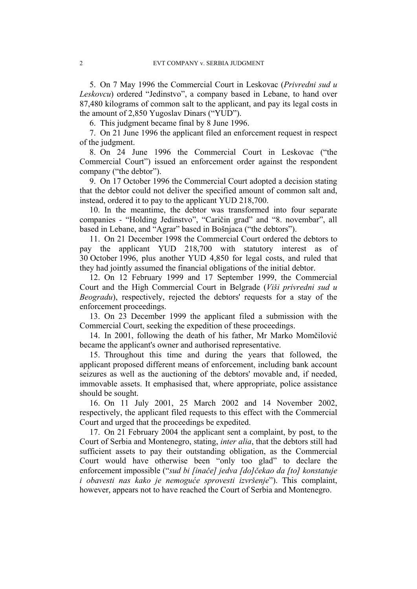5. On 7 May 1996 the Commercial Court in Leskovac (*Privredni sud u Leskovcu*) ordered "Jedinstvo", a company based in Lebane, to hand over 87,480 kilograms of common salt to the applicant, and pay its legal costs in the amount of 2,850 Yugoslav Dinars ("YUD").

6. This judgment became final by 8 June 1996.

7. On 21 June 1996 the applicant filed an enforcement request in respect of the judgment.

8. On 24 June 1996 the Commercial Court in Leskovac ("the Commercial Court") issued an enforcement order against the respondent company ("the debtor").

9. On 17 October 1996 the Commercial Court adopted a decision stating that the debtor could not deliver the specified amount of common salt and, instead, ordered it to pay to the applicant YUD 218,700.

10. In the meantime, the debtor was transformed into four separate companies - "Holding Jedinstvo", "Caričin grad" and "8. novembar", all based in Lebane, and "Agrar" based in Bošnjaca ("the debtors").

11. On 21 December 1998 the Commercial Court ordered the debtors to pay the applicant YUD 218,700 with statutory interest as of 30 October 1996, plus another YUD 4,850 for legal costs, and ruled that they had jointly assumed the financial obligations of the initial debtor.

12. On 12 February 1999 and 17 September 1999, the Commercial Court and the High Commercial Court in Belgrade (*Viši privredni sud u Beogradu*), respectively, rejected the debtors' requests for a stay of the enforcement proceedings.

13. On 23 December 1999 the applicant filed a submission with the Commercial Court, seeking the expedition of these proceedings.

14. In 2001, following the death of his father, Mr Marko Momčilović became the applicant's owner and authorised representative.

15. Throughout this time and during the years that followed, the applicant proposed different means of enforcement, including bank account seizures as well as the auctioning of the debtors' movable and, if needed, immovable assets. It emphasised that, where appropriate, police assistance should be sought.

16. On 11 July 2001, 25 March 2002 and 14 November 2002, respectively, the applicant filed requests to this effect with the Commercial Court and urged that the proceedings be expedited.

17. On 21 February 2004 the applicant sent a complaint, by post, to the Court of Serbia and Montenegro, stating, *inter alia*, that the debtors still had sufficient assets to pay their outstanding obligation, as the Commercial Court would have otherwise been "only too glad" to declare the enforcement impossible ("*sud bi [inače] jedva [do]čekao da [to] konstatuje i obavesti nas kako je nemoguće sprovesti izvršenje*"). This complaint, however, appears not to have reached the Court of Serbia and Montenegro.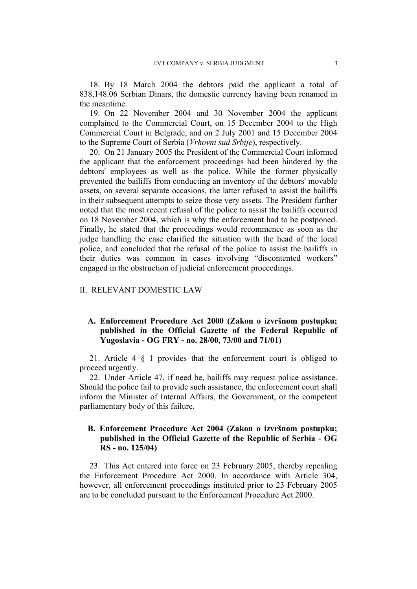18. By 18 March 2004 the debtors paid the applicant a total of 838,148.06 Serbian Dinars, the domestic currency having been renamed in the meantime.

19. On 22 November 2004 and 30 November 2004 the applicant complained to the Commercial Court, on 15 December 2004 to the High Commercial Court in Belgrade, and on 2 July 2001 and 15 December 2004 to the Supreme Court of Serbia (*Vrhovni sud Srbije*), respectively.

20. On 21 January 2005 the President of the Commercial Court informed the applicant that the enforcement proceedings had been hindered by the debtors' employees as well as the police. While the former physically prevented the bailiffs from conducting an inventory of the debtors' movable assets, on several separate occasions, the latter refused to assist the bailiffs in their subsequent attempts to seize those very assets. The President further noted that the most recent refusal of the police to assist the bailiffs occurred on 18 November 2004, which is why the enforcement had to be postponed. Finally, he stated that the proceedings would recommence as soon as the judge handling the case clarified the situation with the head of the local police, and concluded that the refusal of the police to assist the bailiffs in their duties was common in cases involving "discontented workers" engaged in the obstruction of judicial enforcement proceedings.

## II. RELEVANT DOMESTIC LAW

# **A. Enforcement Procedure Act 2000 (Zakon o izvršnom postupku; published in the Official Gazette of the Federal Republic of Yugoslavia - OG FRY - no. 28/00, 73/00 and 71/01)**

21. Article 4 § 1 provides that the enforcement court is obliged to proceed urgently.

22. Under Article 47, if need be, bailiffs may request police assistance. Should the police fail to provide such assistance, the enforcement court shall inform the Minister of Internal Affairs, the Government, or the competent parliamentary body of this failure.

# **B. Enforcement Procedure Act 2004 (Zakon o izvršnom postupku; published in the Official Gazette of the Republic of Serbia - OG RS - no. 125/04)**

23. This Act entered into force on 23 February 2005, thereby repealing the Enforcement Procedure Act 2000. In accordance with Article 304, however, all enforcement proceedings instituted prior to 23 February 2005 are to be concluded pursuant to the Enforcement Procedure Act 2000.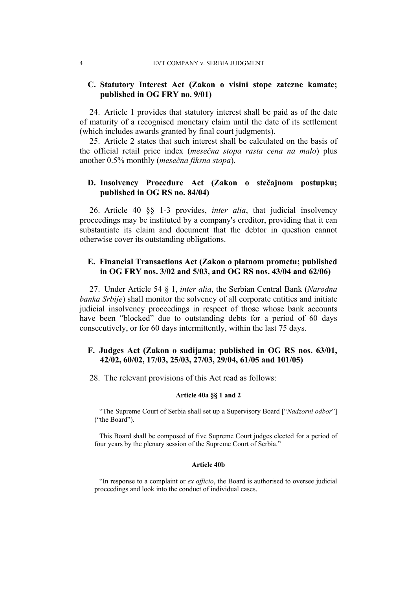# **C. Statutory Interest Act (Zakon o visini stope zatezne kamate; published in OG FRY no. 9/01)**

24. Article 1 provides that statutory interest shall be paid as of the date of maturity of a recognised monetary claim until the date of its settlement (which includes awards granted by final court judgments).

25. Article 2 states that such interest shall be calculated on the basis of the official retail price index (*mesečna stopa rasta cena na malo*) plus another 0.5% monthly (*mesečna fiksna stopa*).

# **D. Insolvency Procedure Act (Zakon o stečajnom postupku; published in OG RS no. 84/04)**

26. Article 40 §§ 1-3 provides, *inter alia*, that judicial insolvency proceedings may be instituted by a company's creditor, providing that it can substantiate its claim and document that the debtor in question cannot otherwise cover its outstanding obligations.

# **E. Financial Transactions Act (Zakon o platnom prometu; published in OG FRY nos. 3/02 and 5/03, and OG RS nos. 43/04 and 62/06)**

27. Under Article 54 § 1, *inter alia*, the Serbian Central Bank (*Narodna banka Srbije*) shall monitor the solvency of all corporate entities and initiate judicial insolvency proceedings in respect of those whose bank accounts have been "blocked" due to outstanding debts for a period of 60 days consecutively, or for 60 days intermittently, within the last 75 days.

# **F. Judges Act (Zakon o sudijama; published in OG RS nos. 63/01, 42/02, 60/02, 17/03, 25/03, 27/03, 29/04, 61/05 and 101/05)**

28. The relevant provisions of this Act read as follows:

#### **Article 40a §§ 1 and 2**

"The Supreme Court of Serbia shall set up a Supervisory Board ["*Nadzorni odbor*"] ("the Board").

This Board shall be composed of five Supreme Court judges elected for a period of four years by the plenary session of the Supreme Court of Serbia."

#### **Article 40b**

"In response to a complaint or *ex officio*, the Board is authorised to oversee judicial proceedings and look into the conduct of individual cases.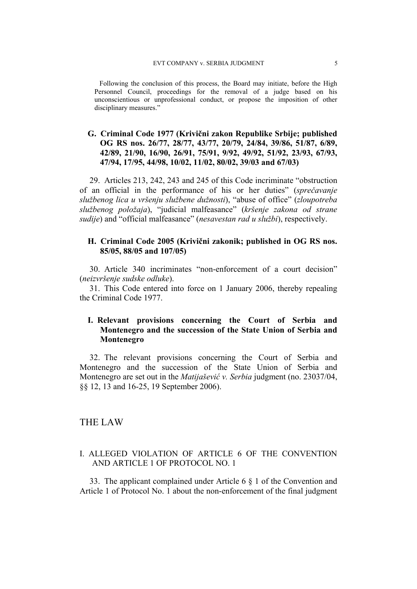Following the conclusion of this process, the Board may initiate, before the High Personnel Council, proceedings for the removal of a judge based on his unconscientious or unprofessional conduct, or propose the imposition of other disciplinary measures."

# **G. Criminal Code 1977 (Krivični zakon Republike Srbije; published OG RS nos. 26/77, 28/77, 43/77, 20/79, 24/84, 39/86, 51/87, 6/89, 42/89, 21/90, 16/90, 26/91, 75/91, 9/92, 49/92, 51/92, 23/93, 67/93, 47/94, 17/95, 44/98, 10/02, 11/02, 80/02, 39/03 and 67/03)**

29. Articles 213, 242, 243 and 245 of this Code incriminate "obstruction of an official in the performance of his or her duties" (*sprečavanje službenog lica u vršenju službene dužnosti*), "abuse of office" (*zloupotreba službenog položaja*), "judicial malfeasance" (*kršenje zakona od strane sudije*) and "official malfeasance" (*nesavestan rad u službi*), respectively.

# **H. Criminal Code 2005 (Krivični zakonik; published in OG RS nos. 85/05, 88/05 and 107/05)**

30. Article 340 incriminates "non-enforcement of a court decision" (*neizvršenje sudske odluke*).

31. This Code entered into force on 1 January 2006, thereby repealing the Criminal Code 1977.

# **I. Relevant provisions concerning the Court of Serbia and Montenegro and the succession of the State Union of Serbia and Montenegro**

32. The relevant provisions concerning the Court of Serbia and Montenegro and the succession of the State Union of Serbia and Montenegro are set out in the *Matijašević v. Serbia* judgment (no. 23037/04, §§ 12, 13 and 16-25, 19 September 2006).

# THE LAW

# I. ALLEGED VIOLATION OF ARTICLE 6 OF THE CONVENTION AND ARTICLE 1 OF PROTOCOL NO. 1

33. The applicant complained under Article 6 § 1 of the Convention and Article 1 of Protocol No. 1 about the non-enforcement of the final judgment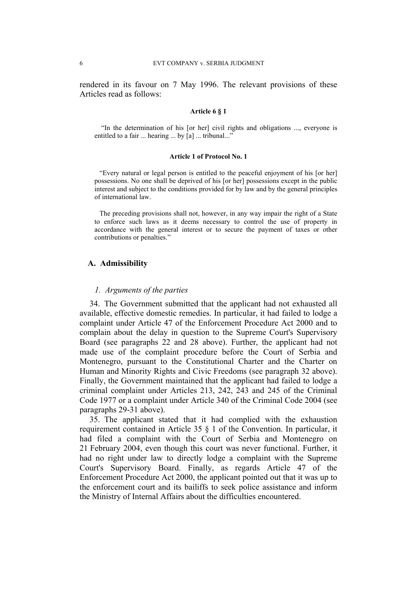rendered in its favour on 7 May 1996. The relevant provisions of these Articles read as follows:

#### **Article 6 § 1**

 "In the determination of his [or her] civil rights and obligations ..., everyone is entitled to a fair ... hearing ... by [a] ... tribunal..."

#### **Article 1 of Protocol No. 1**

"Every natural or legal person is entitled to the peaceful enjoyment of his [or her] possessions. No one shall be deprived of his [or her] possessions except in the public interest and subject to the conditions provided for by law and by the general principles of international law.

The preceding provisions shall not, however, in any way impair the right of a State to enforce such laws as it deems necessary to control the use of property in accordance with the general interest or to secure the payment of taxes or other contributions or penalties."

## **A. Admissibility**

## *1. Arguments of the parties*

34. The Government submitted that the applicant had not exhausted all available, effective domestic remedies. In particular, it had failed to lodge a complaint under Article 47 of the Enforcement Procedure Act 2000 and to complain about the delay in question to the Supreme Court's Supervisory Board (see paragraphs 22 and 28 above). Further, the applicant had not made use of the complaint procedure before the Court of Serbia and Montenegro, pursuant to the Constitutional Charter and the Charter on Human and Minority Rights and Civic Freedoms (see paragraph 32 above). Finally, the Government maintained that the applicant had failed to lodge a criminal complaint under Articles 213, 242, 243 and 245 of the Criminal Code 1977 or a complaint under Article 340 of the Criminal Code 2004 (see paragraphs 29-31 above).

35. The applicant stated that it had complied with the exhaustion requirement contained in Article 35 § 1 of the Convention. In particular, it had filed a complaint with the Court of Serbia and Montenegro on 21 February 2004, even though this court was never functional. Further, it had no right under law to directly lodge a complaint with the Supreme Court's Supervisory Board. Finally, as regards Article 47 of the Enforcement Procedure Act 2000, the applicant pointed out that it was up to the enforcement court and its bailiffs to seek police assistance and inform the Ministry of Internal Affairs about the difficulties encountered.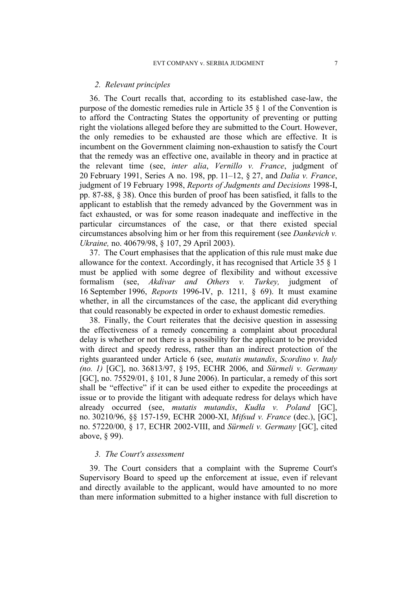#### *2. Relevant principles*

36. The Court recalls that, according to its established case-law, the purpose of the domestic remedies rule in Article 35 § 1 of the Convention is to afford the Contracting States the opportunity of preventing or putting right the violations alleged before they are submitted to the Court. However, the only remedies to be exhausted are those which are effective. It is incumbent on the Government claiming non-exhaustion to satisfy the Court that the remedy was an effective one, available in theory and in practice at the relevant time (see, *inter alia*, *Vernillo v. France*, judgment of 20 February 1991, Series A no. 198, pp. 11–12, § 27, and *Dalia v. France*, judgment of 19 February 1998, *Reports of Judgments and Decisions* 1998-I, pp. 87-88, § 38). Once this burden of proof has been satisfied, it falls to the applicant to establish that the remedy advanced by the Government was in fact exhausted, or was for some reason inadequate and ineffective in the particular circumstances of the case, or that there existed special circumstances absolving him or her from this requirement (see *Dankevich v. Ukraine,* no. 40679/98, § 107, 29 April 2003).

37. The Court emphasises that the application of this rule must make due allowance for the context. Accordingly, it has recognised that Article 35 § 1 must be applied with some degree of flexibility and without excessive formalism (see, *Akdivar and Others v. Turkey,* judgment of 16 September 1996, *Reports* 1996-IV, p. 1211, § 69). It must examine whether, in all the circumstances of the case, the applicant did everything that could reasonably be expected in order to exhaust domestic remedies.

38. Finally, the Court reiterates that the decisive question in assessing the effectiveness of a remedy concerning a complaint about procedural delay is whether or not there is a possibility for the applicant to be provided with direct and speedy redress, rather than an indirect protection of the rights guaranteed under Article 6 (see, *mutatis mutandis*, *Scordino v. Italy (no. 1)* [GC], no. 36813/97, § 195, ECHR 2006, and *Sürmeli v. Germany*  [GC], no. 75529/01, § 101, 8 June 2006). In particular, a remedy of this sort shall be "effective" if it can be used either to expedite the proceedings at issue or to provide the litigant with adequate redress for delays which have already occurred (see, *mutatis mutandis*, *Kudła v. Poland* [GC], no. 30210/96, §§ 157-159, ECHR 2000-XI, *Mifsud v. France* (dec.), [GC], no. 57220/00, § 17, ECHR 2002-VIII, and *Sürmeli v. Germany* [GC], cited above, § 99).

#### *3. The Court's assessment*

39. The Court considers that a complaint with the Supreme Court's Supervisory Board to speed up the enforcement at issue, even if relevant and directly available to the applicant, would have amounted to no more than mere information submitted to a higher instance with full discretion to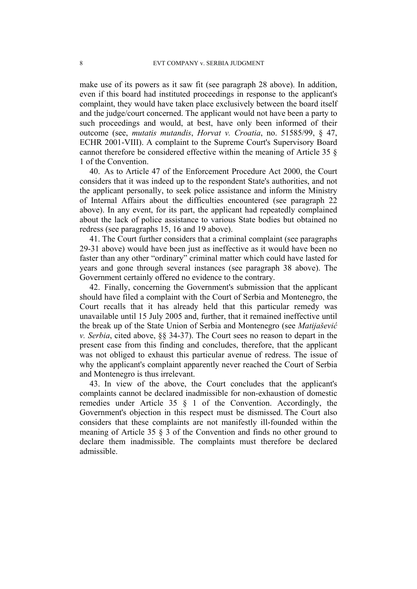make use of its powers as it saw fit (see paragraph 28 above). In addition, even if this board had instituted proceedings in response to the applicant's complaint, they would have taken place exclusively between the board itself and the judge/court concerned. The applicant would not have been a party to such proceedings and would, at best, have only been informed of their outcome (see, *mutatis mutandis*, *Horvat v. Croatia*, no. 51585/99, § 47, ECHR 2001-VIII). A complaint to the Supreme Court's Supervisory Board cannot therefore be considered effective within the meaning of Article 35 § 1 of the Convention.

40. As to Article 47 of the Enforcement Procedure Act 2000, the Court considers that it was indeed up to the respondent State's authorities, and not the applicant personally, to seek police assistance and inform the Ministry of Internal Affairs about the difficulties encountered (see paragraph 22 above). In any event, for its part, the applicant had repeatedly complained about the lack of police assistance to various State bodies but obtained no redress (see paragraphs 15, 16 and 19 above).

41. The Court further considers that a criminal complaint (see paragraphs 29-31 above) would have been just as ineffective as it would have been no faster than any other "ordinary" criminal matter which could have lasted for years and gone through several instances (see paragraph 38 above). The Government certainly offered no evidence to the contrary.

42. Finally, concerning the Government's submission that the applicant should have filed a complaint with the Court of Serbia and Montenegro, the Court recalls that it has already held that this particular remedy was unavailable until 15 July 2005 and, further, that it remained ineffective until the break up of the State Union of Serbia and Montenegro (see *Matijašević v. Serbia*, cited above, §§ 34-37). The Court sees no reason to depart in the present case from this finding and concludes, therefore, that the applicant was not obliged to exhaust this particular avenue of redress. The issue of why the applicant's complaint apparently never reached the Court of Serbia and Montenegro is thus irrelevant.

43. In view of the above, the Court concludes that the applicant's complaints cannot be declared inadmissible for non-exhaustion of domestic remedies under Article 35 § 1 of the Convention. Accordingly, the Government's objection in this respect must be dismissed. The Court also considers that these complaints are not manifestly ill-founded within the meaning of Article 35 § 3 of the Convention and finds no other ground to declare them inadmissible. The complaints must therefore be declared admissible.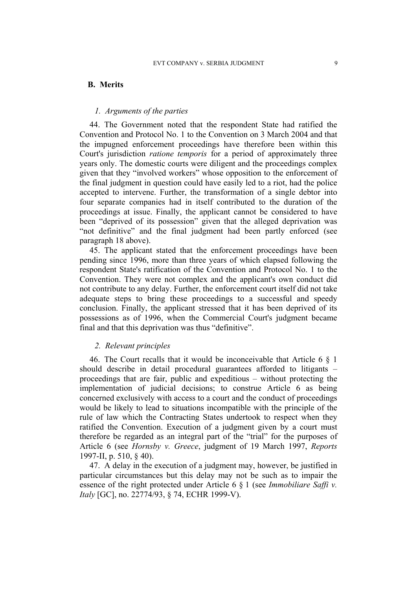## **B. Merits**

## *1. Arguments of the parties*

44. The Government noted that the respondent State had ratified the Convention and Protocol No. 1 to the Convention on 3 March 2004 and that the impugned enforcement proceedings have therefore been within this Court's jurisdiction *ratione temporis* for a period of approximately three years only. The domestic courts were diligent and the proceedings complex given that they "involved workers" whose opposition to the enforcement of the final judgment in question could have easily led to a riot, had the police accepted to intervene. Further, the transformation of a single debtor into four separate companies had in itself contributed to the duration of the proceedings at issue. Finally, the applicant cannot be considered to have been "deprived of its possession" given that the alleged deprivation was "not definitive" and the final judgment had been partly enforced (see paragraph 18 above).

45. The applicant stated that the enforcement proceedings have been pending since 1996, more than three years of which elapsed following the respondent State's ratification of the Convention and Protocol No. 1 to the Convention. They were not complex and the applicant's own conduct did not contribute to any delay. Further, the enforcement court itself did not take adequate steps to bring these proceedings to a successful and speedy conclusion. Finally, the applicant stressed that it has been deprived of its possessions as of 1996, when the Commercial Court's judgment became final and that this deprivation was thus "definitive".

## *2. Relevant principles*

46. The Court recalls that it would be inconceivable that Article 6 § 1 should describe in detail procedural guarantees afforded to litigants – proceedings that are fair, public and expeditious – without protecting the implementation of judicial decisions; to construe Article 6 as being concerned exclusively with access to a court and the conduct of proceedings would be likely to lead to situations incompatible with the principle of the rule of law which the Contracting States undertook to respect when they ratified the Convention. Execution of a judgment given by a court must therefore be regarded as an integral part of the "trial" for the purposes of Article 6 (see *Hornsby v. Greece*, judgment of 19 March 1997, *Reports*  1997-II, p. 510, § 40).

47. A delay in the execution of a judgment may, however, be justified in particular circumstances but this delay may not be such as to impair the essence of the right protected under Article 6 § 1 (see *Immobiliare Saffi v. Italy* [GC], no. 22774/93, § 74, ECHR 1999-V).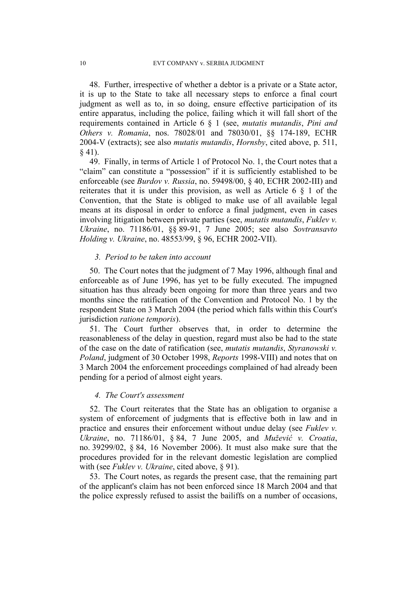48. Further, irrespective of whether a debtor is a private or a State actor, it is up to the State to take all necessary steps to enforce a final court judgment as well as to, in so doing, ensure effective participation of its entire apparatus, including the police, failing which it will fall short of the requirements contained in Article 6 § 1 (see, *mutatis mutandis*, *Pini and Others v. Romania*, nos. 78028/01 and 78030/01, §§ 174-189, ECHR 2004-V (extracts); see also *mutatis mutandis*, *Hornsby*, cited above, p. 511, § 41).

49. Finally, in terms of Article 1 of Protocol No. 1, the Court notes that a "claim" can constitute a "possession" if it is sufficiently established to be enforceable (see *Burdov v. Russia*, no. 59498/00, § 40, ECHR 2002-III) and reiterates that it is under this provision, as well as Article 6 § 1 of the Convention, that the State is obliged to make use of all available legal means at its disposal in order to enforce a final judgment, even in cases involving litigation between private parties (see, *mutatis mutandis*, *Fuklev v. Ukraine*, no. 71186/01, §§ 89-91, 7 June 2005; see also *Sovtransavto Holding v. Ukraine*, no. 48553/99, § 96, ECHR 2002-VII).

## *3. Period to be taken into account*

50. The Court notes that the judgment of 7 May 1996, although final and enforceable as of June 1996, has yet to be fully executed. The impugned situation has thus already been ongoing for more than three years and two months since the ratification of the Convention and Protocol No. 1 by the respondent State on 3 March 2004 (the period which falls within this Court's jurisdiction *ratione temporis*).

51. The Court further observes that, in order to determine the reasonableness of the delay in question, regard must also be had to the state of the case on the date of ratification (see, *mutatis mutandis*, *Styranowski v. Poland*, judgment of 30 October 1998, *Reports* 1998-VIII) and notes that on 3 March 2004 the enforcement proceedings complained of had already been pending for a period of almost eight years.

## *4. The Court's assessment*

52. The Court reiterates that the State has an obligation to organise a system of enforcement of judgments that is effective both in law and in practice and ensures their enforcement without undue delay (see *Fuklev v. Ukraine*, no. 71186/01, § 84, 7 June 2005, and *Mužević v. Croatia*, no. 39299/02, § 84, 16 November 2006). It must also make sure that the procedures provided for in the relevant domestic legislation are complied with (see *Fuklev v. Ukraine*, cited above, § 91).

53. The Court notes, as regards the present case, that the remaining part of the applicant's claim has not been enforced since 18 March 2004 and that the police expressly refused to assist the bailiffs on a number of occasions,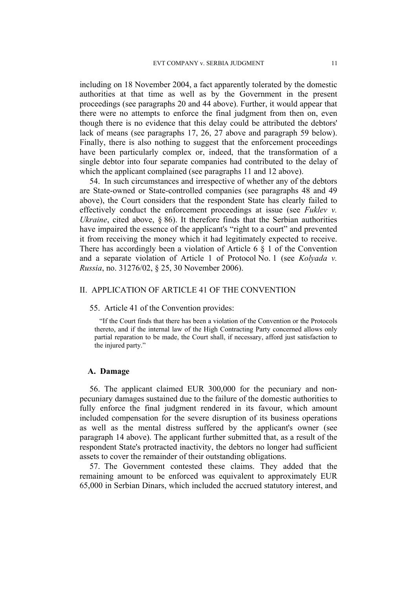including on 18 November 2004, a fact apparently tolerated by the domestic authorities at that time as well as by the Government in the present proceedings (see paragraphs 20 and 44 above). Further, it would appear that there were no attempts to enforce the final judgment from then on, even though there is no evidence that this delay could be attributed the debtors' lack of means (see paragraphs 17, 26, 27 above and paragraph 59 below). Finally, there is also nothing to suggest that the enforcement proceedings have been particularly complex or, indeed, that the transformation of a single debtor into four separate companies had contributed to the delay of which the applicant complained (see paragraphs 11 and 12 above).

54. In such circumstances and irrespective of whether any of the debtors are State-owned or State-controlled companies (see paragraphs 48 and 49 above), the Court considers that the respondent State has clearly failed to effectively conduct the enforcement proceedings at issue (see *Fuklev v. Ukraine*, cited above, § 86). It therefore finds that the Serbian authorities have impaired the essence of the applicant's "right to a court" and prevented it from receiving the money which it had legitimately expected to receive. There has accordingly been a violation of Article 6 § 1 of the Convention and a separate violation of Article 1 of Protocol No. 1 (see *Kolyada v. Russia*, no. 31276/02, § 25, 30 November 2006).

# II. APPLICATION OF ARTICLE 41 OF THE CONVENTION

#### 55. Article 41 of the Convention provides:

"If the Court finds that there has been a violation of the Convention or the Protocols thereto, and if the internal law of the High Contracting Party concerned allows only partial reparation to be made, the Court shall, if necessary, afford just satisfaction to the injured party."

## **A. Damage**

56. The applicant claimed EUR 300,000 for the pecuniary and nonpecuniary damages sustained due to the failure of the domestic authorities to fully enforce the final judgment rendered in its favour, which amount included compensation for the severe disruption of its business operations as well as the mental distress suffered by the applicant's owner (see paragraph 14 above). The applicant further submitted that, as a result of the respondent State's protracted inactivity, the debtors no longer had sufficient assets to cover the remainder of their outstanding obligations.

57. The Government contested these claims. They added that the remaining amount to be enforced was equivalent to approximately EUR 65,000 in Serbian Dinars, which included the accrued statutory interest, and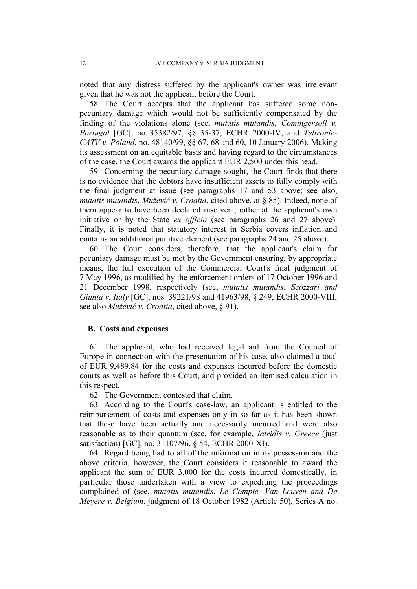noted that any distress suffered by the applicant's owner was irrelevant given that he was not the applicant before the Court.

58. The Court accepts that the applicant has suffered some nonpecuniary damage which would not be sufficiently compensated by the finding of the violations alone (see, *mutatis mutandis*, *Comingersoll v. Portugal* [GC], no. 35382/97, §§ 35-37, ECHR 2000-IV, and *Teltronic-CATV v. Poland*, no. 48140/99, §§ 67, 68 and 60, 10 January 2006). Making its assessment on an equitable basis and having regard to the circumstances of the case, the Court awards the applicant EUR 2,500 under this head.

59. Concerning the pecuniary damage sought, the Court finds that there is no evidence that the debtors have insufficient assets to fully comply with the final judgment at issue (see paragraphs 17 and 53 above; see also, *mutatis mutandis*, *Mužević v. Croatia*, cited above, at § 85). Indeed, none of them appear to have been declared insolvent, either at the applicant's own initiative or by the State *ex officio* (see paragraphs 26 and 27 above). Finally, it is noted that statutory interest in Serbia covers inflation and contains an additional punitive element (see paragraphs 24 and 25 above).

60. The Court considers, therefore, that the applicant's claim for pecuniary damage must be met by the Government ensuring, by appropriate means, the full execution of the Commercial Court's final judgment of 7 May 1996, as modified by the enforcement orders of 17 October 1996 and 21 December 1998, respectively (see, *mutatis mutandis*, *Scozzari and Giunta v. Italy* [GC], nos. 39221/98 and 41963/98, § 249, ECHR 2000-VIII; see also *Mužević v. Croatia*, cited above, § 91).

## **B. Costs and expenses**

61. The applicant, who had received legal aid from the Council of Europe in connection with the presentation of his case, also claimed a total of EUR 9,489.84 for the costs and expenses incurred before the domestic courts as well as before this Court, and provided an itemised calculation in this respect.

62. The Government contested that claim.

63. According to the Court's case-law, an applicant is entitled to the reimbursement of costs and expenses only in so far as it has been shown that these have been actually and necessarily incurred and were also reasonable as to their quantum (see, for example, *Iatridis v. Greece* (just satisfaction) [GC], no. 31107/96, § 54, ECHR 2000-XI).

64. Regard being had to all of the information in its possession and the above criteria, however, the Court considers it reasonable to award the applicant the sum of EUR 3,000 for the costs incurred domestically, in particular those undertaken with a view to expediting the proceedings complained of (see, *mutatis mutandis*, *Le Compte, Van Leuven and De Meyere v. Belgium*, judgment of 18 October 1982 (Article 50), Series A no.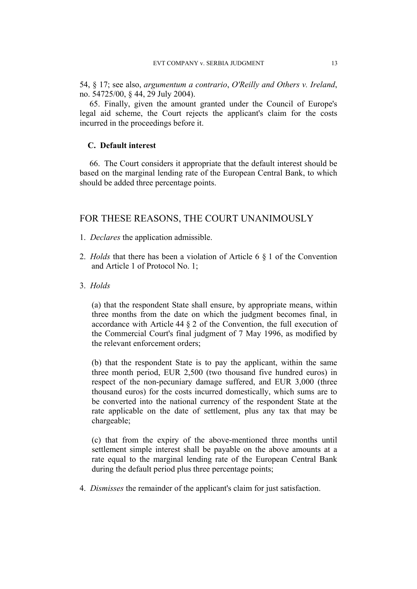54, § 17; see also, *argumentum a contrario*, *O'Reilly and Others v. Ireland*, no. 54725/00, § 44, 29 July 2004).

65. Finally, given the amount granted under the Council of Europe's legal aid scheme, the Court rejects the applicant's claim for the costs incurred in the proceedings before it.

# **C. Default interest**

66. The Court considers it appropriate that the default interest should be based on the marginal lending rate of the European Central Bank, to which should be added three percentage points.

# FOR THESE REASONS, THE COURT UNANIMOUSLY

- 1. *Declares* the application admissible.
- 2. *Holds* that there has been a violation of Article 6 § 1 of the Convention and Article 1 of Protocol No. 1;
- 3. *Holds*

(a) that the respondent State shall ensure, by appropriate means, within three months from the date on which the judgment becomes final, in accordance with Article 44 § 2 of the Convention, the full execution of the Commercial Court's final judgment of 7 May 1996, as modified by the relevant enforcement orders;

(b) that the respondent State is to pay the applicant, within the same three month period, EUR 2,500 (two thousand five hundred euros) in respect of the non-pecuniary damage suffered, and EUR 3,000 (three thousand euros) for the costs incurred domestically, which sums are to be converted into the national currency of the respondent State at the rate applicable on the date of settlement, plus any tax that may be chargeable;

(c) that from the expiry of the above-mentioned three months until settlement simple interest shall be payable on the above amounts at a rate equal to the marginal lending rate of the European Central Bank during the default period plus three percentage points;

4. *Dismisses* the remainder of the applicant's claim for just satisfaction.